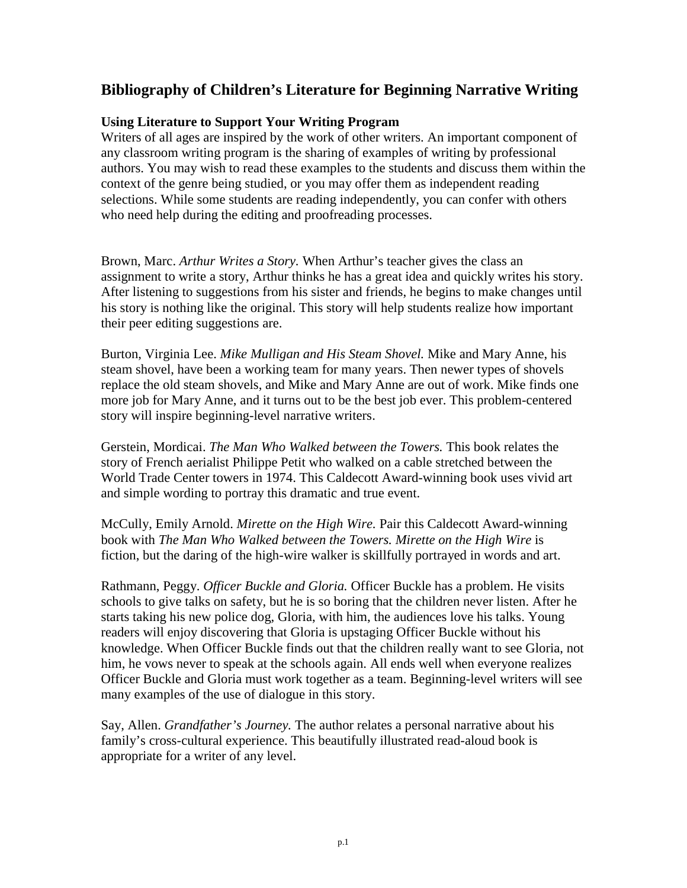## **Bibliography of Children's Literature for Beginning Narrative Writing**

## **Using Literature to Support Your Writing Program**

Writers of all ages are inspired by the work of other writers. An important component of any classroom writing program is the sharing of examples of writing by professional authors. You may wish to read these examples to the students and discuss them within the context of the genre being studied, or you may offer them as independent reading selections. While some students are reading independently, you can confer with others who need help during the editing and proofreading processes.

Brown, Marc. *Arthur Writes a Story.* When Arthur's teacher gives the class an assignment to write a story, Arthur thinks he has a great idea and quickly writes his story. After listening to suggestions from his sister and friends, he begins to make changes until his story is nothing like the original. This story will help students realize how important their peer editing suggestions are.

Burton, Virginia Lee. *Mike Mulligan and His Steam Shovel.* Mike and Mary Anne, his steam shovel, have been a working team for many years. Then newer types of shovels replace the old steam shovels, and Mike and Mary Anne are out of work. Mike finds one more job for Mary Anne, and it turns out to be the best job ever. This problem-centered story will inspire beginning-level narrative writers.

Gerstein, Mordicai. *The Man Who Walked between the Towers.* This book relates the story of French aerialist Philippe Petit who walked on a cable stretched between the World Trade Center towers in 1974. This Caldecott Award-winning book uses vivid art and simple wording to portray this dramatic and true event.

McCully, Emily Arnold. *Mirette on the High Wire.* Pair this Caldecott Award-winning book with *The Man Who Walked between the Towers. Mirette on the High Wire* is fiction, but the daring of the high-wire walker is skillfully portrayed in words and art.

Rathmann, Peggy. *Officer Buckle and Gloria.* Officer Buckle has a problem. He visits schools to give talks on safety, but he is so boring that the children never listen. After he starts taking his new police dog, Gloria, with him, the audiences love his talks. Young readers will enjoy discovering that Gloria is upstaging Officer Buckle without his knowledge. When Officer Buckle finds out that the children really want to see Gloria, not him, he vows never to speak at the schools again. All ends well when everyone realizes Officer Buckle and Gloria must work together as a team. Beginning-level writers will see many examples of the use of dialogue in this story.

Say, Allen. *Grandfather's Journey.* The author relates a personal narrative about his family's cross-cultural experience. This beautifully illustrated read-aloud book is appropriate for a writer of any level.